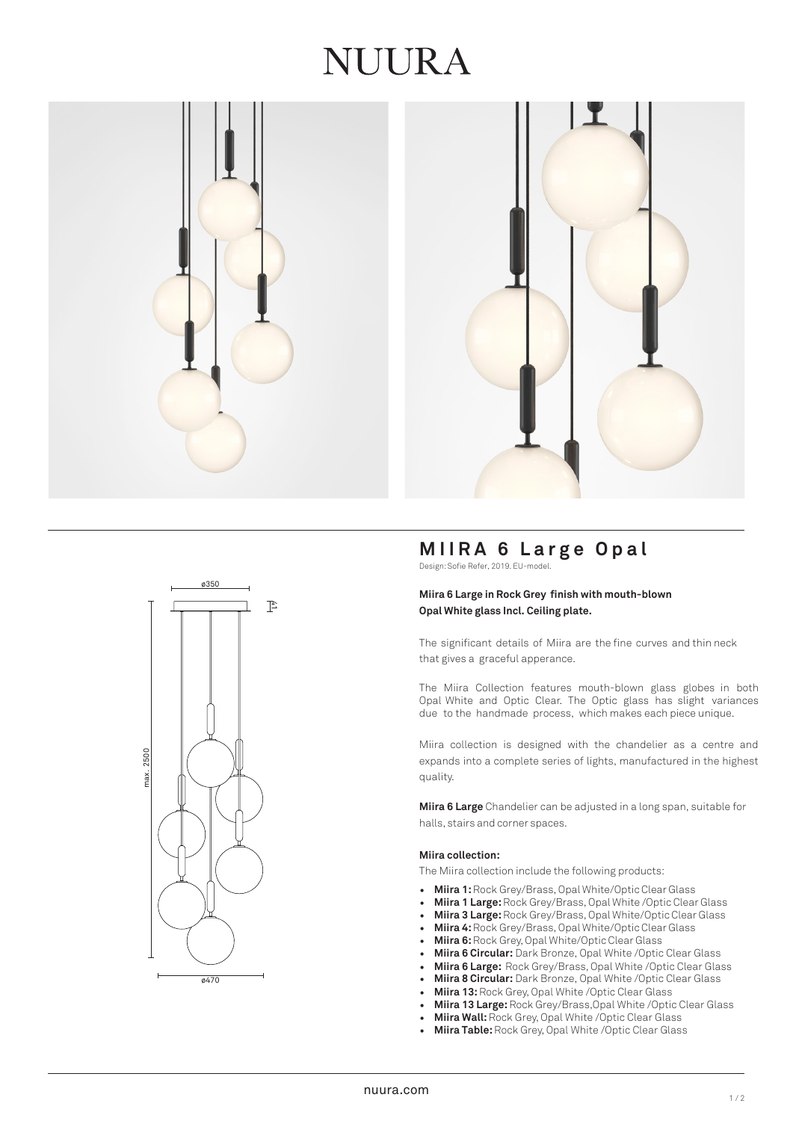## JUURA





### **MIIRA 6 Large Opal**

Design: Sofie Refer, 2019. EU-model.

#### **Miira 6 Large in Rock Grey finish with mouth-blown Opal White glass Incl. Ceiling plate.**

The significant details of Miira are the fine curves and thin neck that gives a graceful apperance.

The Miira Collection features mouth-blown glass globes in both Opal White and Optic Clear. The Optic glass has slight variances due to the handmade process, which makes each piece unique.

Miira collection is designed with the chandelier as a centre and expands into a complete series of lights, manufactured in the highest quality.

**Miira 6 Large** Chandelier can be adjusted in a long span, suitable for halls, stairs and corner spaces.

#### **Miira collection:**

The Miira collection include the following products:

- **Miira 1:**Rock Grey/Brass, Opal White/Optic Clear Glass
- **Miira 1 Large:**Rock Grey/Brass, Opal White /Optic Clear Glass
- **Miira 3 Large:**Rock Grey/Brass, Opal White/Optic Clear Glass
- **Miira 4:**Rock Grey/Brass, Opal White/Optic Clear Glass
- **Miira 6:**Rock Grey, Opal White/Optic Clear Glass
- **Miira 6 Circular:** Dark Bronze, Opal White /Optic Clear Glass
- **Miira 6 Large:** Rock Grey/Brass, Opal White /Optic Clear Glass
- **Miira 8 Circular:** Dark Bronze, Opal White /Optic Clear Glass
- **Miira 13:** Rock Grey, Opal White /Optic Clear Glass
- **Miira 13 Large:** Rock Grey/Brass,Opal White /Optic Clear Glass
- **Miira Wall:**Rock Grey, Opal White /Optic Clear Glass
- **Miira Table:** Rock Grey, Opal White /Optic Clear Glass